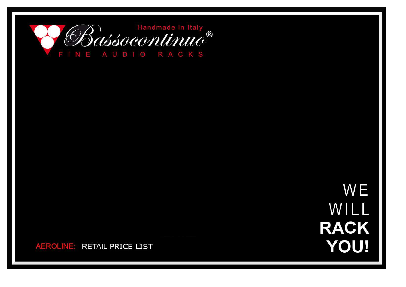

**WE** WILL **RACK YOU!** 

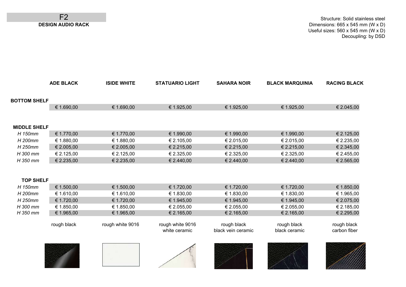F2 **DESIGN AUDIO RACK**

Structure: Solid stainless steel Dimensions: 665 x 545 mm (W x D) Useful sizes: 560 x 545 mm (W x D) Decoupling: by DSD

|                     | <b>ADE BLACK</b> | <b>ISIDE WHITE</b> | <b>STATUARIO LIGHT</b>            | <b>SAHARA NOIR</b>                | <b>BLACK MARQUINIA</b>       | <b>RACING BLACK</b>         |
|---------------------|------------------|--------------------|-----------------------------------|-----------------------------------|------------------------------|-----------------------------|
| <b>BOTTOM SHELF</b> |                  |                    |                                   |                                   |                              |                             |
|                     | € 1.690,00       | € 1.690,00         | € 1.925,00                        | € 1.925,00                        | € 1.925,00                   | € 2.045,00                  |
| <b>MIDDLE SHELF</b> |                  |                    |                                   |                                   |                              |                             |
| H 150mm             | € 1.770,00       | € 1.770,00         | € 1.990,00                        | € 1.990,00                        | € 1.990,00                   | € 2.125,00                  |
| H 200mm             | € 1.880,00       | € 1.880,00         | € 2.105,00                        | € 2.015,00                        | € 2.015,00                   | € 2.235,00                  |
| H 250mm             | € 2.005,00       | € 2.005,00         | € 2.215,00                        | € 2.215,00                        | € 2.215,00                   | € 2.345,00                  |
| H 300 mm            | € 2.125,00       | € 2.125,00         | € 2.325,00                        | € 2.325,00                        | € 2.325,00                   | € 2.455,00                  |
| H 350 mm            | € 2.235,00       | € 2.235,00         | € 2.440,00                        | € 2.440,00                        | € 2.440,00                   | € 2.565,00                  |
| <b>TOP SHELF</b>    |                  |                    |                                   |                                   |                              |                             |
| H 150mm             | € 1.500,00       | € 1.500,00         | € 1.720,00                        | € 1.720,00                        | € 1.720,00                   | € 1.850,00                  |
| H 200mm             | € 1.610,00       | € 1.610,00         | € 1.830,00                        | € 1.830,00                        | € 1.830,00                   | € 1.965,00                  |
| H 250mm             | € 1.720,00       | € 1.720,00         | € 1.945,00                        | € 1.945,00                        | € 1.945,00                   | € 2.075,00                  |
| H 300 mm            | € 1.850,00       | € 1.850,00         | € 2.055,00                        | € 2.055,00                        | € 2.055,00                   | € 2.185,00                  |
| H 350 mm            | € 1.965,00       | € 1.965,00         | € 2.165,00                        | € 2.165,00                        | € 2.165,00                   | € 2.295,00                  |
|                     | rough black      | rough white 9016   | rough white 9016<br>white ceramic | rough black<br>black vein ceramic | rough black<br>black ceramic | rough black<br>carbon fiber |
|                     |                  |                    |                                   |                                   |                              |                             |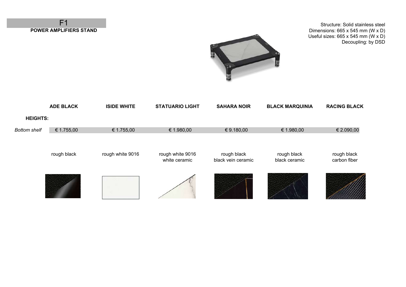

Structure: Solid stainless steel Dimensions: 665 x 545 mm (W x D) Useful sizes: 665 x 545 mm (W x D) Decoupling: by DSD



|                     | <b>ADE BLACK</b> | <b>ISIDE WHITE</b> | <b>STATUARIO LIGHT</b>            | <b>SAHARA NOIR</b>                | <b>BLACK MARQUINIA</b>       | <b>RACING BLACK</b>         |
|---------------------|------------------|--------------------|-----------------------------------|-----------------------------------|------------------------------|-----------------------------|
| <b>HEIGHTS:</b>     |                  |                    |                                   |                                   |                              |                             |
| <b>Bottom shelf</b> | € 1.755,00       | € 1.755,00         | € 1.980,00                        | € 9.180,00                        | € 1.980,00                   | € 2.090,00                  |
|                     | rough black      | rough white 9016   | rough white 9016<br>white ceramic | rough black<br>black vein ceramic | rough black<br>black ceramic | rough black<br>carbon fiber |
|                     |                  |                    |                                   |                                   |                              |                             |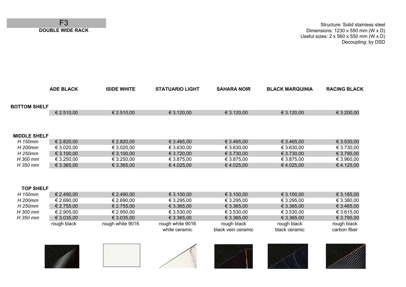Structure: Solid stainless steel Dimensions: 1230 x 550 mm (W x D) Useful sizes: 2 x 560 x 550 mm (W x D) Decoupling: by DSD

|                     | <b>ADE BLACK</b> | <b>ISIDE WHITE</b> | <b>STATUARIO LIGHT</b> | <b>SAHARA NOIR</b> | <b>BLACK MARQUINIA</b> | <b>RACING BLACK</b> |
|---------------------|------------------|--------------------|------------------------|--------------------|------------------------|---------------------|
| <b>BOTTOM SHELF</b> |                  |                    |                        |                    |                        |                     |
|                     | € 2.510,00       | € 2.510,00         | € 3.120,00             | € 3.120,00         | € 3.120,00             | € 3.200,00          |
|                     |                  |                    |                        |                    |                        |                     |
| <b>MIDDLE SHELF</b> |                  |                    |                        |                    |                        |                     |
| H 150mm             | € 2.820,00       | € 2.820,00         | € 3.465,00             | € 3.465,00         | € 3.465,00             | € 3.530,00          |
| H 200mm             | € 3.020,00       | € 3.020,00         | € 3.630,00             | € 3.630,00         | € 3.630,00             | € 3.730,00          |
| H 250mm             | € 3.100,00       | € 3.100,00         | € 3.720,00             | € 3.730,00         | € 3.730,00             | € 3.795,00          |
| H 300 mm            | € 3.250,00       | € 3.250,00         | € 3.875,00             | € 3.875,00         | € 3.875,00             | € 3.960,00          |
| H 350 mm            | € 3.365,00       | € 3.365,00         | €4.025,00              | €4.025,00          | €4.025,00              | €4.125,00           |
| <b>TOP SHELF</b>    |                  |                    |                        |                    |                        |                     |
| H 150mm             | € 2.490,00       | € 2.490,00         | € 3.100,00             | € 3.100,00         | € 3.100,00             | € 3.185,00          |
| H 200mm             | € 2.690,00       | € 2.690,00         | € 3.295,00             | € 3.295,00         | € 3.295,00             | € 3.380,00          |
| H 250mm             | € 2.755,00       | € 2.755,00         | € 3.365,00             | € 3.365,00         | € 3.365,00             | € 3.465,00          |
| H 300 mm            | € 2.905,00       | € 2.950,00         | € 3.530,00             | € 3.530,00         | € 3.530,00             | € 3.615,00          |
| H 350 mm            | € 3.035,00       | € 3.035,00         | € 3.365,00             | € 3.365,00         | € 3.365,00             | € 3.795,00          |
|                     | rough black      | rough white 9016   | rough white 9016       | rough black        | rough black            | rough black         |
|                     |                  |                    | white ceramic          | black vein ceramic | black ceramic          | carbon fiber        |
|                     |                  |                    |                        |                    |                        |                     |
|                     |                  |                    |                        |                    |                        |                     |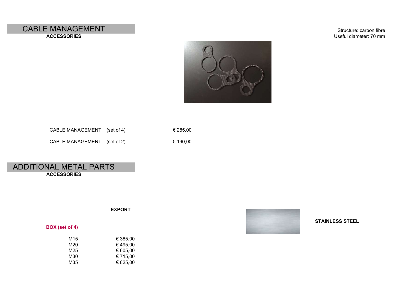## **CABLE MANAGEMENT** Structure: carbon fibre

**ACCESSORIES**

Useful diameter: 70 mm



| CABLE MANAGEMENT (set of 4) | € 285.00 |
|-----------------------------|----------|
| CABLE MANAGEMENT (set of 2) | € 190.00 |

**EXPORT**

## ADDITIONAL METAL PARTS **ACCESSORIES**

**BOX (set of 4)**

M15 M20 M25 M30<br>M35

| € 385,00 |  |
|----------|--|
| €495,00  |  |
| € 605,00 |  |
| € 715,00 |  |
| € 825,00 |  |



**STAINLESS STEEL**